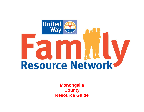

**Monongalia County Resource Guide**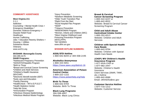## **COMMUNITY ASSISTANCE**

**West Virginia 211**   $2 - 1 - 1$ Addiction Counseling + Mental Health Crisis + Emergency Disabilities \* Domestic Violence Emergency + Disaster Relief Food **Healthcare** Human Trafficking Jobs + Education Reentry Shelters + Housing + Utilities Substance Abuse **Veterans** [www.wv211.org](http://www.wv211.org/)

**WVDHHR- Monongalia County** 304-285-3175 **DHHR Programs:**  \*Adolescent Pregnancy Prevention \*AIDS/STD/Hepatitis Program \*Birth to Three \*Breast and Cervical Cancer Screening \*Children and Adult Services \*Children's Health Insurance (WVCHIP) \*Electronic Benefit transfer (EBT) \*Early care and Education \*Family Planning \*HealthCheck – WV's E.P.S.D.T. \*Health Statistics Center \*Help Me Grow \*Immunization Program \*Infectious Disease Epidemiology \*Infectious Medical Waste Program

\*Injury Prevention \*Newborn Metabolic Screening \*Older Youth Transition Plan \*Right From the Start \*Rural Hospital Flex Program \*SNAP \*Tobacco Prevention \*WISEWOMAN Program \*Women, Infants and Children (WIC) \*West Virginia Childhood Lead Poisoning Prevention Program (WVCLPPP) \*WV WORKS [www.dhhr.wv.gov](http://www.dhhr.wv.gov/pages/Office-Results.aspx?County=Monongalia)

## **WVDHHR HOTLINE NUMBERS:**

**AIDS/STD Hotline** 1-800-642-8244 or 304-558-2195

**Alcoholics Anonymous** 1-800-333-5051 <https://www.aawv.org/district-16>

**American Association of Poison Control Center** 1-800-222-1222 <https://www.poisonhelp.org/help>

**Birth To Three** 1-800-642-9704 Website: [Birth To Three](http://www.wvdhhr.org/birth23/)

**Black Lung Programs** 304-558-4007 Website: [Black Lung Clinics](http://www.wvochs.org/dpc/blacklung.aspx)  **Breast & Cervical Cancer Screening Program** 1-800-422-6237 or 1-800-642-8522

Website: [Breast & Cervical Cancer](http://www.wvdhhr.org/mcfh/)  [Screening Program](http://www.wvdhhr.org/mcfh/)

**Child and Adult Abuse Centralized Intake Center** 1-800-352-6513 Website: [Children and Adult](https://dhhr.wv.gov/bcf/Pages/default.aspx)  **[Services](https://dhhr.wv.gov/bcf/Pages/default.aspx)** 

# **Children with Special Health Care Needs**

1-800-642-9704 Website: [Children with Special](http://www.wvdhhr.org/cshcn/)  [Health Care Needs](http://www.wvdhhr.org/cshcn/)

# **(CHIP) WV Children's Health Insurance Program**

1-877-WVA-CHIP or 1-877-982-2447 Website: [Children's](http://www.chip.wv.gov/Pages/default.aspx) Health **[Insurance](http://www.chip.wv.gov/Pages/default.aspx)** Client Services (SNAP, TANF, etc.) Hotline 1-800-642-8589 Email: [dhhrbcfcs@wv.gov](mailto:%20dhhrbcfcs@wv.gov)

# **Customer Service Hotline**

1-877-716-1212 Website: [Customer Service](https://dhhr.wv.gov/bcf/Pages/default.aspx)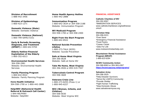**Division of Recruitment** 1-888-442-3456

**Division of Epidemiology** 1-800-423-1271

**Domestic Violence (State)** Website: [Domestic Violence](https://dhhr.wv.gov/bcf/Pages/default.aspx)

**Domestic Violence (National)** 1-800-799-SAFE(7233)

**Early & Periodic Screening, Diagnosis, and Treatment (EPSDT)** 1-800-642-9704

**Elderly Hotline-Financial Exploitation of the Elderly** 1-800-352-6513

**Environmental Health Services** 304-558-2981 Website: [Environmental Health](http://www.wvdhhr.org/oehs/)  **[Services](http://www.wvdhhr.org/oehs/)** 

**Family Planning Program** 1-800-642-8522 Website: [Family Planning Program](http://www.wvdhhr.org/MCFH/Womens_and_perinatal_services/FamilyPlanning/index.html)

**Home Health Initiative** 304-558-1700 or 1-800-442-2888

**Help4WV (Behavioral Health Referral & Outreach Call Center)** 1-844-HELP4WV Website: [Help4WV](http://www.help4wv.com/)

**Home Health Agency Hotline** 1-800-442-2888

**Immunization Program** 1-800-642-3634 or 304-558-2188 Website: [Immunization Program](https://dhhr.wv.gov/HealthCheck/preventivehealthresources/Pages/Immunizations.aspx)

**WV Medicaid Program** 304-558-1700 or 304-558-2400

**Right From the Start Program** 1-800-642-8522

**National Suicide Prevention Lifeline** 1-800-273-TALK (8255) Website: [Suicide Prevention](http://preventsuicidewv.org/)

**Safe at Home West Virginia** 304-356-0628 Website: [Safe at Home WV](https://dhhr.wv.gov/bcf/Services/Pages/Safe-At-Home-West-Virginia.aspx)

**Take Me Home, West Virginia** 304-356-4926 or 855-519-7557

**Tuberculosis Control Program** 304-558-3669

**Veterans Crisis Line** 1-800-273-8255 (Press 1) or 1-800-945-6227

**WIC (Women, Infants, and Children)** 304-558-0030 Website: [West Virginia WIC](http://ons.wvdhhr.org/)

## **FINANCIAL ASSISTANCE**

**Catholic Charities of WV** 304-292-6597 \*IMMIGRATION SERVICES [www.catholiccharitieswv.org/wellnessw](http://www.catholiccharitieswv.org/wellnessworks/#
) [orks/#](http://www.catholiccharitieswv.org/wellnessworks/#
)

#### **Christian Help**

304-296-0221 \*Free Store \*Emergency Financial Assistance \*Food Pantry \*Career Closet \*Jobs For Life [www.motownchristianhelp.com](http://www.motownchristianhelp.com/)

**Mountaineer Rental Assistance Program (MRAP)** 1-866-623-6284

**NCWV Community Action** 304-368-8063 or 304-363-4367 **<https://ncwvcaacorp.net/programs/>**

**Salvation Army**  304-296-3525 \*Help Disaster Survivors \*Serve the LGBTQ Community \*Provide Shelter \*Fight Human Trafficking \*Stop Domestic Abuse [www.salvationarmyusa.org](http://www.salvationarmyusa.org/)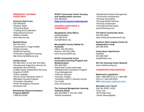# **EMERGENCY HOUSING ASSISTANCE**

## **American Red Cross**

304-598-9500 \*Disaster Relief \*Lifesaving Blood \*Training and Certification \*International Services \*Military Families [www.redcross.org](http://www.redcross.org/)

# **Bartlett House**

304-292-0101 \*Assessment & Triage Shelter \*Bridge Housing \*Rapid Re-Housing \*Permanent Supportive Housing [http://www.bartletthouse.org](http://www.bartletthouse.org/)

# **Caritas House**

304-985-0021/ or text 304-376-8823 \*Housing and Supportive Services for Individuals with HIV/AIDS \*Colligo House Independent Recovery Program (CHIRP) \*Pantry Supplies \*Novus House Warming Center & Affordable Housing Program \*Prevention Education \*EPAK (Emergency Personal Assistance Kit)

**Mountaineer Rental Assistance Program (MRAP)** 1-866-623-6284

**NCWV Community Action Housing and weatherization services** 304-368-8063 **<https://ncwvcaacorp.net/programs/>**

# **HOUSING ASSISTANCE & FURNISHINGS**

**Morgantown Unity Manor**elderly/disabled 304-296-5519 mum@hrdewv.org

# **Monongalia County Habitat for Humanity**

Office: 304-292-0914 Restore: 304-291-2991 [www.moncountyhfh.org](http://moncountyhfh.org/)

#### **NCWV Community Action Association Housing Program and Weatherization** 304-363-4367

\*Head Start / Early Head Start \*Weatherization Assistance Program \*Case Management \*Veterans Services \*Housing / Shelter \*Assistance w/EITC (Earned Income Tax Credit [www.ncwvcaa.org](http://www.ncwvcaa.org/)

#### **The Fairmont-Morgantown Housing Authority (HUD)** 304-363-0860 or 304-291-1660 \*Rental Assistance

\*Residential Property Management \*Community Development \*Housing Counseling \*Housing Rehab Services \*Housing Construction \*Commercial Real Estate [www.fmhousing.com](http://www.fmhousing.com/)

**The Ranch Community Store** 304-381-2606 [www.chestnutmountainranch.org](http://www.chestnutmountainranch.org/)

**Northern West Virginia Center for Independent Living** 304-296-6091

**Unity House Apartments-**Disabled 304-598-5607 uha@hrdewv.org

# **WV Fair Housing Action Network**  [www.wvfairhousing.org](http://www.wvfairhousing.org/)

# **TRANSPORTATION SERVICES**

**Modivcare/ LogistiCare** Add: 1-866-588-5122 or 1-866-588- 5123 or 1-844-549-8354 Add:<https://www.modivcare.com/>

# **Mountain Line Transit**

304-291-RIDE (7433) \*Grey Line \*WVU Ride Free \*Senior Monongalians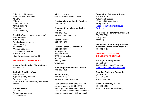\*High School Program \*Persons with Disabilities \*T-OPS \*Charters \*Volunteer Drive \*Travel Training \*Vanpool [www.busride.org](http://www.busride.org/)

**NewFIT**: (Four-person minimum/ride) 304-296-3680 \*Dial-A-Ride \*Medical Appointments \*Work/Training \*Medicaid \*Assistive Services \*On Demand Services \*Curb to Curb <https://www.busride.org/newfit>

#### **FOOD PANTRY RESOURCES**

**Canyon Presbyterian Church Pantry** 304-594-2143

**Catholic Charities of WV** 304-292-6597 \*Special dietary requests \*immigration services [www.catholiccharitieswv.org/wellnessw](http://www.catholiccharitieswv.org/wellnessworks/#
) [orks/#](http://www.catholiccharitieswv.org/wellnessworks/#
)

**Christian Help**  304-296-0221 \*emergency supplies \*hygiene items

\*clothing closets [www.motownchristianhelp.com](http://www.motownchristianhelp.com/)

**Clay Battelle Area Family Services** 304-432-7200

**Covenant Evangelical Methodist Church** 304-292-6050 [www.covenantemc.com](http://www.covenantemc.com/)

**Helpful Harvest** 304-288-1964

**Starting Points & Arnettsville**

304-983-2432 \*baby pantry \*hygiene items \*PAT home visiting \*outreach \*Happy school \*playgroup

**Rock Forge Presbyterian Church** 304-241-4831

**Salvation Army** 304-296-3525 [www.salvationarmyusa.org](http://www.salvationarmyusa.org/)

Note: Salvation Army Soup Kitchen serves a meals at 10:30-12PM and 3-5pm Monday – Friday at the Scott Avenue location. They also have some weekend hours. Call for times!

# **Scott's Run Settlement House**

304-599-5020 \*Cleaning Supplies \*Personal Hygiene Items \*Baby Pantry [Scott's Run Settlement House](https://www.srsh.org/)  [\(srsh.org\)](https://www.srsh.org/)

**St. Ursula Food Pantry & Outreach** 304-599-3822 \*baby items \*clothing

**Wadestown Food Pantry & Native American Community Center, Inc.** 304-662-6496

#### **PRENATAL, INFANT AND CHILDREN'S PROGRAMS**

**Birthright of Morgantown**  304-296-0277 24/7 helpline: 1-800-550-4900 <https://birthright.org/morgantown>

**Board of Parks and Recreation** (BOPARC) 304-296-8356 [www.boparc.org](http://www.boparc.org/)

**Buckle Your Baby for Life**  304-296-3636 [www.buckleyourbabyforlife.org](http://www.buckleyourbabyforlife.org/)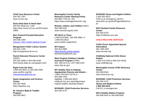**Child Care Resource Center**  304-292-7357 [www.ccrcwv.org](http://www.ccrcwv.org/)

**Early Head Start & Head Start** 304-291-9330 ext. 1768 [https://boe.mono.k12.wv.us/20/Content](https://boe.mono.k12.wv.us/20/Content2/894) [2/894](https://boe.mono.k12.wv.us/20/Content2/894)

**Mon General Prenatal Education Program**  304-598-1484 [Classes | Mon Health Medical Center](https://www.monhealth.com/main/classes)

**Morgantown Public Library System** 304-291-7425 [http://morgantown.lib.wv.us](http://morgantown.lib.wv.us/)

**Parent Educator Resource Center**  (PERC) 304-291-9288 or 304-558-3199 [html://wvde.state.wv.us/osp/perc.html](http://wvde.state.wv.us/osp/perc.html)

**Right From the Start**  1-800-642-8522 or 304-356-4408 [www.wvdhhr.org/rfts/](http://www.wvdhhr.org/rfts/) [Jstonebraker@bumfs.org](mailto:Jstonebraker@bumfs.org)

**Spark Imagination and Science Center**  304-292-4646 [https://sparkwv.org](https://sparkwv.org/)

**St. Ursula's Baby & Toddler Program** 304-599-3822

**Monongalia County Family Resource Center Starting Points** 304-983-7700 ext. 204 <https://www.startingpointsmcfrc.org/>

**Women, Infants, and Children** (WIC) 304-598-5181 [www.monchd.org/wic.html](http://www.monchd.org/wic.html)

**WV Birth to Three**  1-800-619-5697, 304-296-3660, or 1-800-642-8522 [www.wvdhhr.org/birth23/](http://www.wvdhhr.org/birth23/)

**WV Impact** 304-813-0995 <https://bumfs.org/wv-impact/> aemckinsey@bumfs.org

**West Virginia Children's Health Insurance Program** (CHIP) 304- 285-3175 or 1-877-982-2447 [www.chip.wv.gov](http://www.chip.wv.gov/)

**WV Healthy Start & Helping Appalachian Parents and Infants** – 1-866-738-HAPI (4274) or 304-288-1340 eligibility: 1-800-642-8522. [medicine.hsc.wvu.edu/obgyn/west](https://medicine.hsc.wvu.edu/obgyn/west-virginia-healthy-starthapi-project/)[virginia-healthy-starthapi-project/](https://medicine.hsc.wvu.edu/obgyn/west-virginia-healthy-starthapi-project/)

**WVDHHR- Child Protective Services** 304-285-3175

# **WVDHHR Abuse and Neglect Hotline**

1-800-352-6513 If this is an emergency call 911 [www.dhhr.wv.gov/bcf/Pages/default.as](http://www.dhhr.wv.gov/bcf/Pages/default.aspx) [px](http://www.dhhr.wv.gov/bcf/Pages/default.aspx)

**WVU Student Family Resource Center**  304-293-5370 [https://childcare.wvu.edu](https://childcare.wvu.edu/)

# **CHILD WELFARE SERVICES**

**CASA (Court Appointed Special Advocates)**  304- 599-1087 [www.wvcasa.org](http://www.wvcasa.org/)

**Childhelp National Child Abuse Hotline** 1-800-4-A-Child (1-800-422-4453) [www.childhelp.org](http://www.childhelp.org/)

**Monongalia County Child Advocacy Center** 304-598-0344 [www.moncocac.org](http://www.moncocac.org/)

**WVDHHR- Child Protective Services** 304-285-3175 **Abuse and Neglect Hotline 1-800-352-6513** Call 911 in emergencies

**WVU Healthy Babies Program** 304-598-4024 or 304-598-6462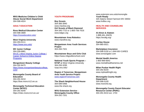**WVU Medicine Children's Child Abuse Social Work Department**  304-598-4024

## **ADULT EDUCATION**

**Ross Medical Education Center** 304-598-3689 <https://rosseducation.edu/>

**West Virginia University** 304-293-0111 <https://www.wvu.edu/>

**WV Junior College** 304-209-6881 [WVJC | West Virginia Junior College |](https://www.wvjc.edu/)  [Career School & Online Degree](https://www.wvjc.edu/)  [Programs](https://www.wvjc.edu/)

**Morgantown Beauty College** 304-292-8475 [https://www.morgantownbeautycollege.](https://www.morgantownbeautycollege.com/) [com/](https://www.morgantownbeautycollege.com/)

**Monongalia County Board of Education** 304-291-9210 [https://boe.mono.k12.wv.us](https://boe.mono.k12.wv.us/)

**Monongalia Technical Education Center (MTEC)** 304-291-9240 <https://mtec.mono.k12.wv.us/>

# **YOUTH PROGRAMS**

**Boy Scouts**  304-366-3940 [www.macbsa.org](http://www.macbsa.org/) **Girl Scouts of Black Diamond** 304-345-7722 or 1-800-756-7616 [www.bdgsc.org](http://www.bdgsc.org/)

**Mountaineer Area Robotics**  [www.marsfirst.org](http://www.marsfirst.org/)

**Morgantown Area Youth Services Project**  304-284-7321

**Mountaineer Boys and Girls Club**  <https://www.mbgcafterschool.com/>

**National Youth Sports Program – NYSP** at West Virginia University 304-293-3295 [nysp.wvu.edu/](http://nysp.wvu.edu/)

**Region 4 Tomorrow- Morgantown Area Youth Service Project** [www.region4Tomorrow.com](http://www.region4tomorrow.com/)

**The Shack Neighborhood House** 304-599-5466 [www.the-shack.org](http://www.the-shack.org/)

**WVU Extension Service - Monongalia County Office**  304-291-7201

[www.extension.wvu.edu/mononglia](http://www.extension.wvu.edu/mononglia) **Youth Ready** 320 Adams Street Fairmont WV 26554 www.hrdfwv.org

#### **HEALTH AND COUNSELING SERVICES**

**Al-Alnon & Alateen** 1-888-4AL-ANON <https://wvafg.org/>

**Caritas House** 304-985-0021

**Marketplace Insurance** 304-598-5150 or 1-844-WV-CARES [www.wvnavigator.com](http://www.wvnavigator.com/)

**Mental Health America** 1-800-969-6642 [www.mentalhealthamerica.net](http://www.mentalhealthamerica.net/)

**Milan Puskar Health Right** 304-292-8234 [www.mphealthright.org](http://www.mphealthright.org/)

**Monongalia County Health Department**  304-598-5100 [www.monchd.org](http://www.monchd.org/)

**Monongalia County Parent Educator Resource Center (PERC)** 304-291-9210 ext. 1703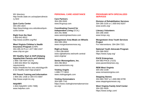WV directory: [http://wvde.state.wv.us/osp/percdirecto](http://wvde.state.wv.us/osp/percdirectory.html) [ry.html](http://wvde.state.wv.us/osp/percdirectory.html)

**Quin Curtis Center**  304-293-1824 [htpp://psychology.wvu.edu/about/quin](http://psychology.wvu.edu/about/quin-curtis-center)[curtis-center](http://psychology.wvu.edu/about/quin-curtis-center)

**Right from the Start** 1-800-642-8522 <http://www.wvdhhr.org/rfts/>

**West Virginia Children's Health Insurance Program** (CHIP) 304-285-3175 or 1-877-982-2447 [www.chip.wv.gov](http://www.chip.wv.gov/)

**WV Healthy Start & HAPI (Helping Appalachian Parents and Infants)**

1-866-738-HAPI (4274) 1-800-642-8522 for eligibility requirements [htpps://medicine.hsc.wvu.edu/obgyn/th](https://medicine.hsc.wvu.edu/obgyn/the-wv-healthy-start-hapi-project/) [e-wv-healthy-start-hapi-project/](https://medicine.hsc.wvu.edu/obgyn/the-wv-healthy-start-hapi-project/)

**WV Parent Training and Information** 1-800-281-1436 or 304-472-5697 [http://www.wvpti-inc.org](http://www.wvpti-inc.org/)

**Help4WV** 1-844-Help4WV (435-7498) [www.help4wv.com](http://www.help4wv.com/)

# **PERSONAL CARE ASSISTANCE**

**Care Partners**  304-285-5500 [www.lhcgroup.com](http://www.lhcgroup.com/)

**Coordinating Council for Independent Living** (CCIL) 304-291-9066 [www.westvirginiaschoice.com](http://www.westvirginiaschoice.com/)

**Morgantown Area Meals on Wheels** 304-599-1954 [www.morgantownwvmow.org](http://www.morgantownwvmow.org/)

**Right at Home** 1-304-296-6600 [www.rightathome.net/north-central](http://www.rightathome.net/north-central-west-virginia/)[west-virginia/](http://www.rightathome.net/north-central-west-virginia/)

**Senior Monongalians, Inc.**  304-296-9812 [www.seniormons.org](http://www.seniormons.org/)

**Visiting Angels** 1-888-777-5810 [www.visitingangels.com](http://www.visitingangels.com/)

**Visiting Homemakers** 304-599-7743 [https://www.visitinghomemakerservice](https://www.visitinghomemakerservicewv.org/) [wv.org/](https://www.visitinghomemakerservicewv.org/)

#### **PROGRAMS WITH SPECIALIZED SERVICES**

**Division of Rehabilitation Services**  304-285-3155 or 1-800-642-8207 [www.wvdrs.org/](http://www.wvdrs.org/)

**Literacy Volunteers**  304-296-3400 [www.lvmpc.org](http://www.lvmpc.org/)

**Morgantown Area Youth Services Project** For Interventions: 304-284-7321

**National Youth Advocate Program** 304-366-5832 <https://www.nyap.org/>

**PACE Enterprises** 304-983-PACE (7223) [www.paceenterprises.org](http://www.paceenterprises.org/)

**REM West Virginia** 304-292-2108 [www.remwestvirginia.com](http://www.remwestvirginia.com/)

**Stepping Stones**  304-983-7837 or 1-800-982-8799 [www.steppingstoneswv.org](http://www.steppingstoneswv.org/)

**West Virginia Family Grief Center** 304-282-4935 <https://www.wvfgc.com/>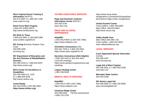**West Virginia Parent Training & Information** (WVPTI) 304-472-5697 or 1-800-281-1436 [www.wvpti-inc.org](http://www.wvpti-inc.org/)

**Work Force West Virginia** 1-800-252-JOBS (5627) [http://www.workforcewv.org](http://www.workforcewv.org/)

**WV Birth to Three**  1-800-619-5697 or 304-558-5388 [www.wvdhhr.org/birth23/](http://www.wvdhhr.org/birth23/)

**WV Caring** (formerly Hospice Care Corp) 304-599-4200 [wvcaring.org](http://www.wvcaring.org/)

**WV Department of Education and the Arts Division of Rehabilitation Services** 304-285-3155 or 1-800-642-8207 <http://www.wvdrs.org/>

**WVU Center for Excellence in Disabilities**  304-293-4692 ext. 1102 Or 1-888-829-9426 [http://www.cedwvu.org](http://www.cedwvu.org/)

**Youth Ready** 681-404-6199 or 304-365-4692 **<https://www.hrdfwv.org/>**

# **VICTIMS ASSISTANCE SERVICES**

**Rape and Domestic Violence Information Center** (RDVIC) 304-292-5100 [www.rdvic.org](http://www.rdvic.org/)

## **DRUG AND ALCOHOL DEPENDENCE**

**Help4WV** 1-844-HELP4WV (1-844-435-7498) [https://www.help4wv.com](https://www.help4wv.com/)

**Alcoholics Anonymous** (AA) 304-291-7918 or 1-800-333-5051 <https://www.aawv.org/district-16>

**Narcotics Anonymous (NA) Helpline** 1-800-766-4442 or 304-344-4442 Local NA meetings: [https://www.greatermorgantownna.org/](https://www.greatermorgantownna.org/meetings) [meetings](https://www.greatermorgantownna.org/meetings)

**Legacy Healing Center** 1-855-708-5095

# **MENTAL HEALTH SERVICES**

**Help4WV** 1-844-HELP-4WV (435-7498) [https://www.help4wv.com](https://www.help4wv.com/)

**Chestnut Ridge Center** 304-598-6400 Toll free assessment: 1-866-720-3784

[https://www.drug-rehab](https://www.drug-rehab-headquarters.com/west%20virginia/facility/chestnut-ridge-center-morgantown/)[headquarters.com/west%20virginia/faci](https://www.drug-rehab-headquarters.com/west%20virginia/facility/chestnut-ridge-center-morgantown/) [lity/chestnut-ridge-center-morgantown/](https://www.drug-rehab-headquarters.com/west%20virginia/facility/chestnut-ridge-center-morgantown/)

**United Summit Center** Crisis Hotline: 1-800-786-6480 Main Office: 304-623-5661 [http://www.uscwv.org](http://www.uscwv.org/)

**Valley Health Care** Main Office:304-296-1731 Crisis hotline: 1-800-232-0020 [www.valleyhealthcare.org](http://www.valleyhealthcare.org/)

# **LEGAL SERVICES**

**Court Appointed Special Advocates** (CASA) 304-599-1087 [www.wvcasa.org](http://www.wvcasa.org/)

**Legal Aid of West Virginia** 304-296-0001 or 1-800-453-1939 [www.lawv.net](http://www.lawv.net/)

**Mountain State Justice** 304-326-0188

**WV Senior Legal Aid** 304-296-0082 or 1-800-229-5068 [www.seniorlegalaid.net](http://www.seniorlegalaid.net/)